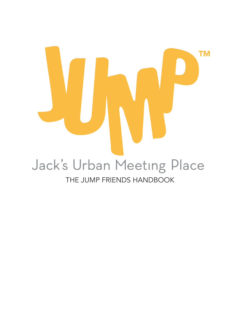# **TM** Jack's Urban Meeting Place THE JUMP FRIENDS HANDBOOK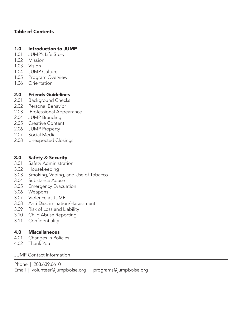# Table of Contents

# 1.0 Introduction to JUMP

- 1.01 JUMP's Life Story
- 1.02 Mission
- 1.03 Vision
- 1.04 JUMP Culture
- 1.05 Program Overview
- 1.06 Orientation

# **2.0 Friends Guidelines**<br>2.01 Background Checks

- Background Checks
- 2.02 Personal Behavior
- 2.03 Professional Appearance
- 2.04 JUMP Branding
- 2.05 Creative Content
- 2.06 JUMP Property
- 2.07 Social Media
- 2.08 Unexpected Closings

# 3.0 Safety & Security

- 3.01 Safety Administration
- 3.02 Housekeeping
- 3.03 Smoking, Vaping, and Use of Tobacco
- 3.04 Substance Abuse
- 3.05 Emergency Evacuation
- 3.06 Weapons
- 3.07 Violence at JUMP
- 3.08 Anti-Discrimination/Harassment
- 3.09 Risk of Loss and Liability
- 3.10 Child Abuse Reporting
- 3.11 Confidentiality

# 4.0 Miscellaneous

- 4.01 Changes in Policies
- 4.02 Thank You!

# JUMP Contact Information

Phone | 208.639.6610 Email | volunteer@jumpboise.org | programs@jumpboise.org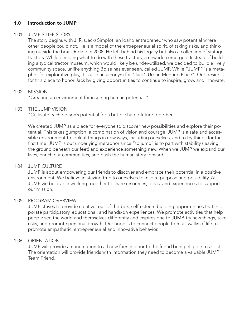# 1.0 Introduction to JUMP

# 1.01 JUMP'S LIFE STORY

The story begins with J. R. (Jack) Simplot, an Idaho entrepreneur who saw potential where other people could not. He is a model of the entrepreneurial spirit, of taking risks, and thinking outside the box. JR died in 2008. He left behind his legacy but also a collection of vintage tractors. While deciding what to do with these tractors, a new idea emerged. Instead of building a typical tractor museum, which would likely be under-utilized, we decided to build a lively community space, unlike anything Boise has ever seen, called JUMP. While "JUMP" is a metaphor for explorative play, it is also an acronym for "Jack's Urban Meeting Place". Our desire is for this place to honor Jack by giving opportunities to continue to inspire, grow, and innovate.

# 1.02 MISSION

"Creating an environment for inspiring human potential."

# 1.03 THE JUMP VISION

"Cultivate each person's potential for a better shared future together."

We created JUMP as a place for everyone to discover new possibilities and explore their potential. This takes gumption, a combination of vision and courage. JUMP is a safe and accessible environment to look at things in new ways, including ourselves, and to try things for the first time. JUMP is our underlying metaphor since "to jump" is to part with stability (leaving the ground beneath our feet) and experience something new. When we JUMP we expand our lives, enrich our communities, and push the human story forward.

# 1.04 JUMP CULTURE

JUMP is about empowering our friends to discover and embrace their potential in a positive environment. We believe in staying true to ourselves to inspire purpose and possibility. At JUMP we believe in working together to share resources, ideas, and experiences to support our mission.

# 1.05 PROGRAM OVERVIEW

JUMP strives to provide creative, out-of-the-box, self-esteem building opportunities that incorporate participatory, educational, and hands-on experiences. We promote activities that help people see the world and themselves differently and inspires one to JUMP, try new things, take risks, and promote personal growth. Our hope is to connect people from all walks of life to promote empathetic, entrepreneurial and innovative behavior.

# 1.06 ORIENTATION

JUMP will provide an orientation to all new friends prior to the friend being eligible to assist. The orientation will provide friends with information they need to become a valuable JUMP Team Friend.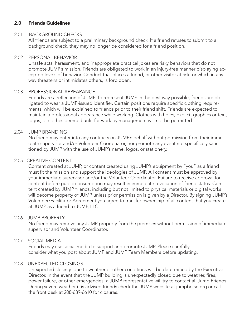# 2.0 Friends Guidelines

#### 2.01 BACKGROUND CHECKS

All friends are subject to a preliminary background check. If a friend refuses to submit to a background check, they may no longer be considered for a friend position.

# 2.02 PERSONAL BEHAVIOR

Unsafe acts, harassment, and inappropriate practical jokes are risky behaviors that do not promote JUMP's mission. Friends are obligated to work in an injury-free manner displaying accepted levels of behavior. Conduct that places a friend, or other visitor at risk, or which in any way threatens or intimidates others, is forbidden.

# 2.03 PROFESSIONAL APPEARANCE

 Friends are a reflection of JUMP. To represent JUMP in the best way possible, friends are obligated to wear a JUMP-issued identifier. Certain positions require specific clothing requirements; which will be explained to friends prior to their friend shift. Friends are expected to maintain a professional appearance while working. Clothes with holes, explicit graphics or text, logos, or clothes deemed unfit for work by management will not be permitted.

#### 2.04 JUMP BRANDING

No friend may enter into any contracts on JUMP's behalf without permission from their immediate supervisor and/or Volunteer Coordinator, nor promote any event not specifically sanctioned by JUMP with the use of JUMP's name, logos, or stationery.

# 2.05 CREATIVE CONTENT

 Content created at JUMP, or content created using JUMP's equipment by "you" as a friend must fit the mission and support the ideologies of JUMP. All content must be approved by your immediate supervisor and/or the Volunteer Coordinator. Failure to receive approval for content before public consumption may result in immediate revocation of friend status. Content created by JUMP friends, including but not limited to physical materials or digital works will become property of JUMP unless prior permission is given by a Director. By signing JUMP's Volunteer/Facilitator Agreement you agree to transfer ownership of all content that you create at JUMP as a friend to JUMP, LLC.

#### 2.06 JUMP PROPERTY

No friend may remove any JUMP property from the premises without permission of immediate supervisor and Volunteer Coordinator.

#### 2.07 SOCIAL MEDIA

Friends may use social media to support and promote JUMP. Please carefully consider what you post about JUMP and JUMP Team Members before updating.

# 2.08 UNEXPECTED CLOSINGS

Unexpected closings due to weather or other conditions will be determined by the Executive Director. In the event that the JUMP building is unexpectedly closed due to weather, fires, power failure, or other emergencies, a JUMP representative will try to contact all Jump Friends. During severe weather it is advised friends check the JUMP website at jumpboise.org or call the front desk at 208-639-6610 for closures.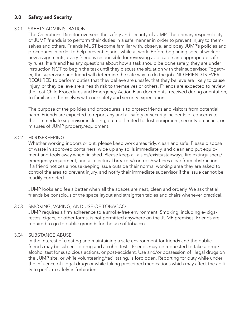# 3.0 Safety and Security

# 3.01 SAFETY ADMINISTRATION

The Operations Director oversees the safety and security of JUMP. The primary responsibility of JUMP friends is to perform their duties in a safe manner in order to prevent injury to themselves and others. Friends MUST become familiar with, observe, and obey JUMP's policies and procedures in order to help prevent injuries while at work. Before beginning special work or new assignments, every friend is responsible for reviewing applicable and appropriate safety rules. If a friend has any questions about how a task should be done safely, they are under instruction NOT to begin the task until they discuss the situation with their supervisor. Together, the supervisor and friend will determine the safe way to do the job. NO FRIEND IS EVER REQUIRED to perform duties that they believe are unsafe, that they believe are likely to cause injury, or they believe are a health risk to themselves or others. Friends are expected to review the Lost Child Procedures and Emergency Action Plan documents, received during orientation, to familiarize themselves with our safety and security expectations.

The purpose of the policies and procedures is to protect friends and visitors from potential harm. Friends are expected to report any and all safety or security incidents or concerns to their immediate supervisor including, but not limited to: lost equipment, security breaches, or misuses of JUMP property/equipment.

# 3.02 HOUSEKEEPING

Whether working indoors or out, please keep work areas tidy, clean and safe. Please dispose of waste in approved containers, wipe up any spills immediately, and clean and put equipment and tools away when finished. Please keep all aisles/exists/stairways, fire extinguishers/ emergency equipment, and all electrical breakers/controls/switches clear from obstruction. If a friend notices a housekeeping issue outside their normal working area they are asked to control the area to prevent injury, and notify their immediate supervisor if the issue cannot be readily corrected.

JUMP looks and feels better when all the spaces are neat, clean and orderly. We ask that all friends be conscious of the space layout and straighten tables and chairs whenever practical.

# 3.03 SMOKING, VAPING, AND USE OF TOBACCO

 JUMP requires a firm adherence to a smoke-free environment. Smoking, including e- cigarettes, cigars, or other forms, is not permitted anywhere on the JUMP premises. Friends are required to go to public grounds for the use of tobacco.

# 3.04 SUBSTANCE ABUSE

In the interest of creating and maintaining a safe environment for friends and the public, friends may be subject to drug and alcohol tests. Friends may be requested to take a drug/ alcohol test for suspicious actions, or post-accident. Use and/or possession of illegal drugs on the JUMP site, or while volunteering/facilitating, is forbidden. Reporting for duty while under the influence of illegal drugs or while taking prescribed medications which may affect the ability to perform safely, is forbidden.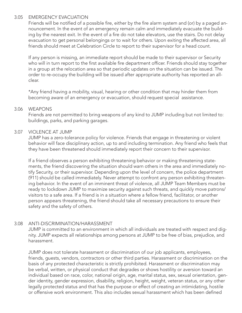# 3.05 EMERGENCY EVACUATION

 Friends will be notified of a possible fire, either by the fire alarm system and (or) by a paged announcement. In the event of an emergency remain calm and immediately evacuate the building by the nearest exit. In the event of a fire do not take elevators, use the stairs. Do not delay evacuation to get personal belongings or to wait for others. Upon exiting the affected area, all friends should meet at Celebration Circle to report to their supervisor for a head count.

If any person is missing, an immediate report should be made to their supervisor or Security who will in turn report to the first available fire department officer. Friends should stay together in a group at the relocation area so that periodic updates on the situation can be issued. The order to re-occupy the building will be issued after appropriate authority has reported an allclear.

\*Any friend having a mobility, visual, hearing or other condition that may hinder them from becoming aware of an emergency or evacuation, should request special assistance.

# 3.06 WEAPONS

Friends are not permitted to bring weapons of any kind to JUMP including but not limited to: buildings, parks, and parking garages.

# 3.07 VIOLENCE AT JUMP

JUMP has a zero-tolerance policy for violence. Friends that engage in threatening or violent behavior will face disciplinary action, up to and including termination. Any friend who feels that they have been threatened should immediately report their concern to their supervisor.

If a friend observes a person exhibiting threatening behavior or making threatening statements, the friend discovering the situation should warn others in the area and immediately notify Security, or their supervisor. Depending upon the level of concern, the police department (911) should be called immediately. Never attempt to confront any person exhibiting threatening behavior. In the event of an imminent threat of violence, all JUMP Team Members must be ready to lockdown JUMP to maximize security against such threats, and quickly move patrons/ visitors to a safe area. If a friend is in a situation where a fellow friend, facilitator, or another person appears threatening, the friend should take all necessary precautions to ensure their safety and the safety of others.

# 3.08 ANTI-DISCRIMINATION/HARASSMENT

JUMP is committed to an environment in which all individuals are treated with respect and dignity. JUMP expects all relationships among persons at JUMP to be free of bias, prejudice, and harassment.

JUMP does not tolerate harassment or discrimination of our job applicants, employees, friends, guests, vendors, contractors or other third parties. Harassment or discrimination on the basis of any protected characteristic is strictly prohibited. Harassment or discrimination may be verbal, written, or physical conduct that degrades or shows hostility or aversion toward an individual based on race, color, national origin, age, marital status, sex, sexual orientation, gender identity, gender expression, disability, religion, height, weight, veteran status, or any other legally protected status and that has the purpose or effect of creating an intimidating, hostile or offensive work environment. This also includes sexual harassment which has been defined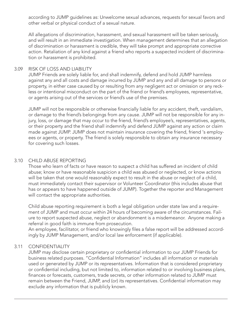according to JUMP guidelines as: Unwelcome sexual advances, requests for sexual favors and other verbal or physical conduct of a sexual nature.

All allegations of discrimination, harassment, and sexual harassment will be taken seriously, and will result in an immediate investigation. When management determines that an allegation of discrimination or harassment is credible, they will take prompt and appropriate corrective action. Retaliation of any kind against a friend who reports a suspected incident of discrimination or harassment is prohibited.

# 3.09 RISK OF LOSS AND LIABILITY

JUMP Friends are solely liable for, and shall indemnify, defend and hold JUMP harmless against any and all costs and damage incurred by JUMP and any and all damage to persons or property, in either case caused by or resulting from any negligent act or omission or any reckless or intentional misconduct on the part of the friend or friend's employees, representative, or agents arising out of the services or friend's use of the premises.

 JUMP will not be responsible or otherwise financially liable for any accident, theft, vandalism, or damage to the friend's belongings from any cause. JUMP will not be responsible for any injury, loss, or damage that may occur to the friend, friend's employee's, representatives, agents, or their property and the friend shall indemnify and defend JUMP against any action or claim made against JUMP. JUMP does not maintain insurance covering the friend, friend 's employees or agents, or property. The friend is solely responsible to obtain any insurance necessary for covering such losses.

# 3.10 CHILD ABUSE REPORTING

Those who learn of facts or have reason to suspect a child has suffered an incident of child abuse; know or have reasonable suspicion a child was abused or neglected, or know actions will be taken that one would reasonably expect to result in the abuse or neglect of a child, must immediately contact their supervisor or Volunteer Coordinator (this includes abuse that has or appears to have happened outside of JUMP). Together the reporter and Management will contact the appropriate authorities.

 Child abuse reporting requirement is both a legal obligation under state law and a requirement of JUMP and must occur within 24 hours of becoming aware of the circumstances. Failure to report suspected abuse, neglect or abandonment is a misdemeanor. Anyone making a referral in good faith is immune from prosecution.

 An employee, facilitator, or friend who knowingly files a false report will be addressed accordingly by JUMP Management, and/or local law enforcement (if applicable).

# 3.11 CONFIDENTIALITY

 JUMP may disclose certain proprietary or confidential information to our JUMP Friends for business related purposes. "Confidential Information" includes all information or materials used or generated by JUMP or its representatives. Information that is considered proprietary or confidential including, but not limited to, information related to or involving business plans, finances or forecasts, customers, trade secrets, or other information related to JUMP must remain between the Friend, JUMP, and (or) its representatives. Confidential information may exclude any information that is publicly known.